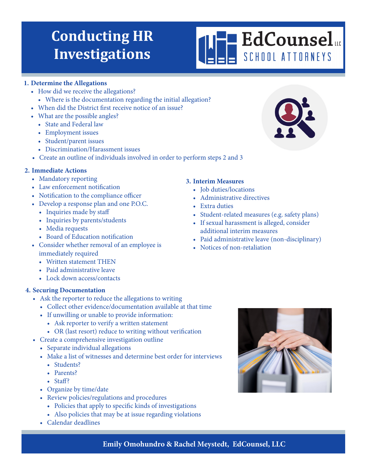# **Conducting HR Investigations**

#### **1. Determine the Allegations**

- How did we receive the allegations?
	- Where is the documentation regarding the initial allegation?
- When did the District first receive notice of an issue?
- What are the possible angles?
	- State and Federal law
	- Employment issues
	- Student/parent issues
	- Discrimination/Harassment issues
- Create an outline of individuals involved in order to perform steps 2 and 3

#### **2. Immediate Actions**

- Mandatory reporting
- Law enforcement notification
- Notification to the compliance officer
- Develop a response plan and one P.O.C.
	- Inquiries made by staff
	- Inquiries by parents/students
	- Media requests
	- Board of Education notification
- Consider whether removal of an employee is immediately required
	- Written statement THEN
	- Paid administrative leave
	- Lock down access/contacts

### **4. Securing Documentation**

- Ask the reporter to reduce the allegations to writing
	- Collect other evidence/documentation available at that time
	- If unwilling or unable to provide information:
		- Ask reporter to verify a written statement
		- OR (last resort) reduce to writing without verification
- Create a comprehensive investigation outline
	- Separate individual allegations
	- Make a list of witnesses and determine best order for interviews
		- Students?
		- Parents?
		- Staff?
	- Organize by time/date
	- Review policies/regulations and procedures
		- Policies that apply to specific kinds of investigations
		- Also policies that may be at issue regarding violations
	- Calendar deadlines

### **3. Interim Measures**

- Job duties/locations
- Administrative directives
- Extra duties
- Student-related measures (e.g. safety plans)
- If sexual harassment is alleged, consider additional interim measures
- Paid administrative leave (non-disciplinary)
- Notices of non-retaliation



## **Emily Omohundro & Rachel Meystedt, EdCounsel, LLC**



**EdCounsel** SCHOOL ATTORNEYS